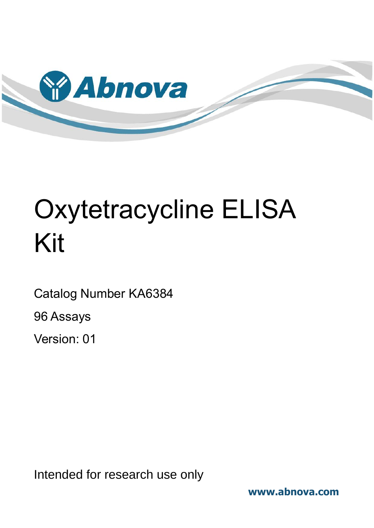

# Oxytetracycline ELISA Kit

Catalog Number KA6384

96 Assays

Version: 01

Intended for research use only

**www.abnova.com**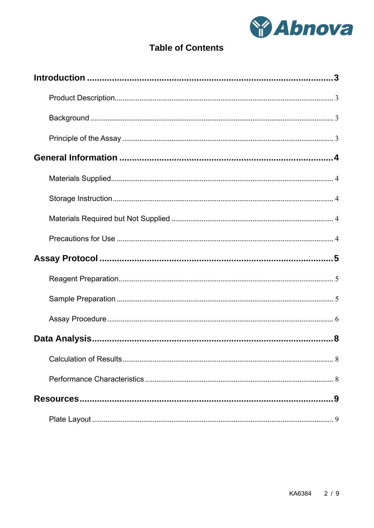

# **Table of Contents**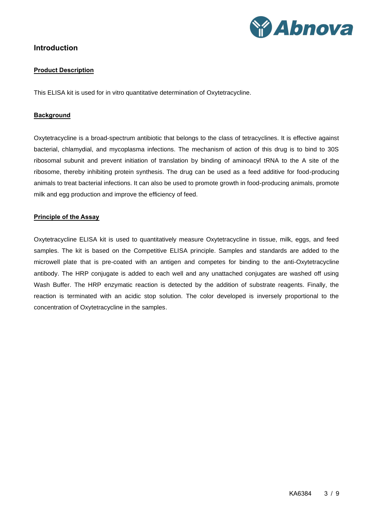

## <span id="page-2-1"></span><span id="page-2-0"></span>**Introduction**

#### **Product Description**

<span id="page-2-2"></span>This ELISA kit is used for in vitro quantitative determination of Oxytetracycline.

#### **Background**

Oxytetracycline is a broad-spectrum antibiotic that belongs to the class of tetracyclines. It is effective against bacterial, chlamydial, and mycoplasma infections. The mechanism of action of this drug is to bind to 30S ribosomal subunit and prevent initiation of translation by binding of aminoacyl tRNA to the A site of the ribosome, thereby inhibiting protein synthesis. The drug can be used as a feed additive for food-producing animals to treat bacterial infections. It can also be used to promote growth in food-producing animals, promote milk and egg production and improve the efficiency of feed.

#### <span id="page-2-3"></span>**Principle of the Assay**

Oxytetracycline ELISA kit is used to quantitatively measure Oxytetracycline in tissue, milk, eggs, and feed samples. The kit is based on the Competitive ELISA principle. Samples and standards are added to the microwell plate that is pre-coated with an antigen and competes for binding to the anti-Oxytetracycline antibody. The HRP conjugate is added to each well and any unattached conjugates are washed off using Wash Buffer. The HRP enzymatic reaction is detected by the addition of substrate reagents. Finally, the reaction is terminated with an acidic stop solution. The color developed is inversely proportional to the concentration of Oxytetracycline in the samples.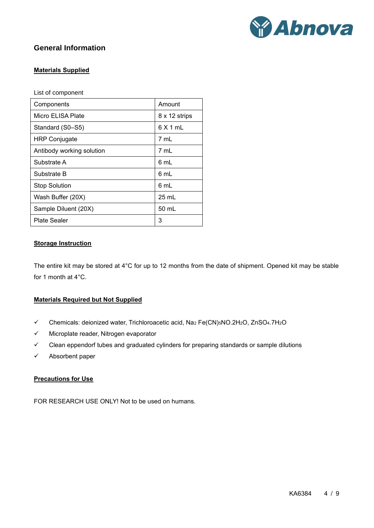

# <span id="page-3-1"></span><span id="page-3-0"></span>**General Information**

#### **Materials Supplied**

List of component

| Components                | Amount          |  |  |
|---------------------------|-----------------|--|--|
| Micro ELISA Plate         | 8 x 12 strips   |  |  |
| Standard (S0-S5)          | 6 X 1 mL        |  |  |
| <b>HRP Conjugate</b>      | 7 mL            |  |  |
| Antibody working solution | 7 mL            |  |  |
| Substrate A               | 6 mL            |  |  |
| Substrate B               | 6 mL            |  |  |
| <b>Stop Solution</b>      | 6 mL            |  |  |
| Wash Buffer (20X)         | $25 \text{ mL}$ |  |  |
| Sample Diluent (20X)      | 50 mL           |  |  |
| Plate Sealer              | 3               |  |  |

#### <span id="page-3-2"></span>**Storage Instruction**

The entire kit may be stored at 4°C for up to 12 months from the date of shipment. Opened kit may be stable for 1 month at 4°C.

#### <span id="page-3-3"></span>**Materials Required but Not Supplied**

- ✓ Chemicals: deionized water, Trichloroacetic acid, Na<sup>2</sup> Fe(CN)5NO.2H2O, ZnSO4.7H2O
- ✓ Microplate reader, Nitrogen evaporator
- ✓ Clean eppendorf tubes and graduated cylinders for preparing standards or sample dilutions
- <span id="page-3-4"></span>✓ Absorbent paper

#### **Precautions for Use**

FOR RESEARCH USE ONLY! Not to be used on humans.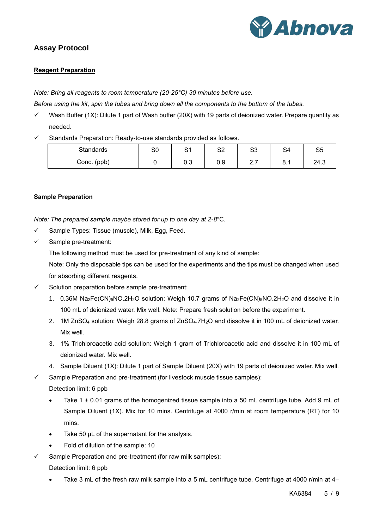

# <span id="page-4-1"></span><span id="page-4-0"></span>**Assay Protocol**

#### **Reagent Preparation**

*Note: Bring all reagents to room temperature (20-25°C) 30 minutes before use.*

*Before using the kit, spin the tubes and bring down all the components to the bottom of the tubes.*

- ✓ Wash Buffer (1X): Dilute 1 part of Wash buffer (20X) with 19 parts of deionized water. Prepare quantity as needed.
- Standards Preparation: Ready-to-use standards provided as follows.

| Standards   | S0 | O1<br>ັັ | co.<br>ےب | ິ<br>ບບ  | ິ<br>-54 | cс<br>v. |
|-------------|----|----------|-----------|----------|----------|----------|
| Conc. (ppb) |    | 0.3      | 0.9       | <u>.</u> | o<br>O.1 | 24.3     |

#### <span id="page-4-2"></span>**Sample Preparation**

*Note: The prepared sample maybe stored for up to one day at 2-8*°C*.*

- ✓ Sample Types: Tissue (muscle), Milk, Egg, Feed.
- ✓ Sample pre-treatment:

The following method must be used for pre-treatment of any kind of sample:

Note: Only the disposable tips can be used for the experiments and the tips must be changed when used for absorbing different reagents.

- $\checkmark$  Solution preparation before sample pre-treatment:
	- 1. 0.36M Na2Fe(CN)5NO.2H2O solution: Weigh 10.7 grams of Na2Fe(CN)5NO.2H2O and dissolve it in 100 mL of deionized water. Mix well. Note: Prepare fresh solution before the experiment.
	- 2. 1M ZnSO<sup>4</sup> solution: Weigh 28.8 grams of ZnSO4.7H2O and dissolve it in 100 mL of deionized water. Mix well.
	- 3. 1% Trichloroacetic acid solution: Weigh 1 gram of Trichloroacetic acid and dissolve it in 100 mL of deionized water. Mix well.
	- 4. Sample Diluent (1X): Dilute 1 part of Sample Diluent (20X) with 19 parts of deionized water. Mix well.

 $\checkmark$  Sample Preparation and pre-treatment (for livestock muscle tissue samples):

Detection limit: 6 ppb

- Take 1  $\pm$  0.01 grams of the homogenized tissue sample into a 50 mL centrifuge tube. Add 9 mL of Sample Diluent (1X). Mix for 10 mins. Centrifuge at 4000 r/min at room temperature (RT) for 10 mins.
- Take 50  $\mu$ L of the supernatant for the analysis.
- Fold of dilution of the sample: 10
- Sample Preparation and pre-treatment (for raw milk samples):

Detection limit: 6 ppb

Take 3 mL of the fresh raw milk sample into a 5 mL centrifuge tube. Centrifuge at 4000 r/min at 4–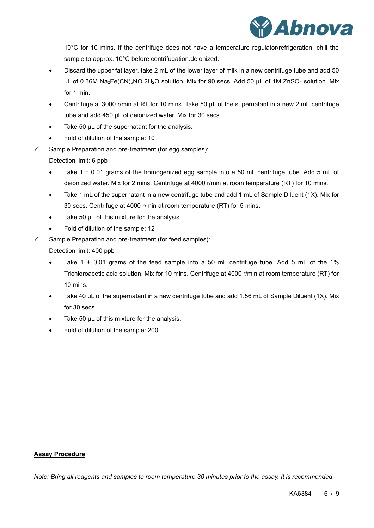

10°C for 10 mins. If the centrifuge does not have a temperature regulator/refrigeration, chill the sample to approx. 10°C before centrifugation.deionized.

- Discard the upper fat layer, take 2 mL of the lower layer of milk in a new centrifuge tube and add 50 µL of 0.36M Na2Fe(CN)5NO.2H2O solution. Mix for 90 secs. Add 50 µL of 1M ZnSO<sup>4</sup> solution. Mix for 1 min.
- Centrifuge at 3000 r/min at RT for 10 mins. Take 50 µL of the supernatant in a new 2 mL centrifuge tube and add 450 µL of deionized water. Mix for 30 secs.
- Take 50  $\mu$ L of the supernatant for the analysis.
- Fold of dilution of the sample: 10
- $\checkmark$  Sample Preparation and pre-treatment (for egg samples):

Detection limit: 6 ppb

- Take 1  $\pm$  0.01 grams of the homogenized egg sample into a 50 mL centrifuge tube. Add 5 mL of deionized water. Mix for 2 mins. Centrifuge at 4000 r/min at room temperature (RT) for 10 mins.
- Take 1 mL of the supernatant in a new centrifuge tube and add 1 mL of Sample Diluent (1X). Mix for 30 secs. Centrifuge at 4000 r/min at room temperature (RT) for 5 mins.
- Take 50 µL of this mixture for the analysis.
- Fold of dilution of the sample: 12
- Sample Preparation and pre-treatment (for feed samples):

Detection limit: 400 ppb

- Take 1  $\pm$  0.01 grams of the feed sample into a 50 mL centrifuge tube. Add 5 mL of the 1% Trichloroacetic acid solution. Mix for 10 mins. Centrifuge at 4000 r/min at room temperature (RT) for 10 mins.
- Take 40 µL of the supernatant in a new centrifuge tube and add 1.56 mL of Sample Diluent (1X). Mix for 30 secs.
- Take 50 µL of this mixture for the analysis.
- Fold of dilution of the sample: 200

#### <span id="page-5-0"></span>**Assay Procedure**

*Note: Bring all reagents and samples to room temperature 30 minutes prior to the assay. It is recommended*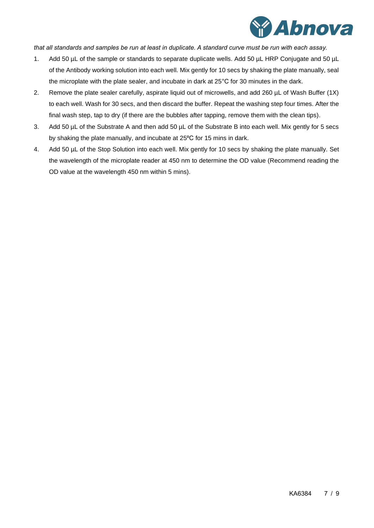

*that all standards and samples be run at least in duplicate. A standard curve must be run with each assay.*

- 1. Add 50 µL of the sample or standards to separate duplicate wells. Add 50 µL HRP Conjugate and 50 µL of the Antibody working solution into each well. Mix gently for 10 secs by shaking the plate manually, seal the microplate with the plate sealer, and incubate in dark at 25°C for 30 minutes in the dark.
- 2. Remove the plate sealer carefully, aspirate liquid out of microwells, and add 260 µL of Wash Buffer (1X) to each well. Wash for 30 secs, and then discard the buffer. Repeat the washing step four times. After the final wash step, tap to dry (if there are the bubbles after tapping, remove them with the clean tips).
- 3. Add 50 µL of the Substrate A and then add 50 µL of the Substrate B into each well. Mix gently for 5 secs by shaking the plate manually, and incubate at 25ºC for 15 mins in dark.
- 4. Add 50 µL of the Stop Solution into each well. Mix gently for 10 secs by shaking the plate manually. Set the wavelength of the microplate reader at 450 nm to determine the OD value (Recommend reading the OD value at the wavelength 450 nm within 5 mins).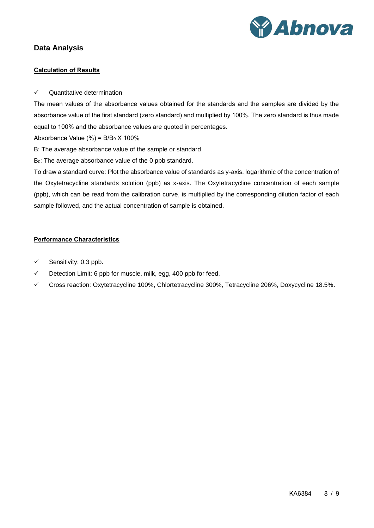

# <span id="page-7-1"></span><span id="page-7-0"></span>**Data Analysis**

#### **Calculation of Results**

✓ Quantitative determination

The mean values of the absorbance values obtained for the standards and the samples are divided by the absorbance value of the first standard (zero standard) and multiplied by 100%. The zero standard is thus made equal to 100% and the absorbance values are quoted in percentages.

Absorbance Value  $(\%) = B/B_0 \times 100\%$ 

B: The average absorbance value of the sample or standard.

B<sub>0</sub>: The average absorbance value of the 0 ppb standard.

To draw a standard curve: Plot the absorbance value of standards as y-axis, logarithmic of the concentration of the Oxytetracycline standards solution (ppb) as x-axis. The Oxytetracycline concentration of each sample (ppb), which can be read from the calibration curve, is multiplied by the corresponding dilution factor of each sample followed, and the actual concentration of sample is obtained.

#### <span id="page-7-2"></span>**Performance Characteristics**

- $\checkmark$  Sensitivity: 0.3 ppb.
- $\checkmark$  Detection Limit: 6 ppb for muscle, milk, egg, 400 ppb for feed.
- ✓ Cross reaction: Oxytetracycline 100%, Chlortetracycline 300%, Tetracycline 206%, Doxycycline 18.5%.